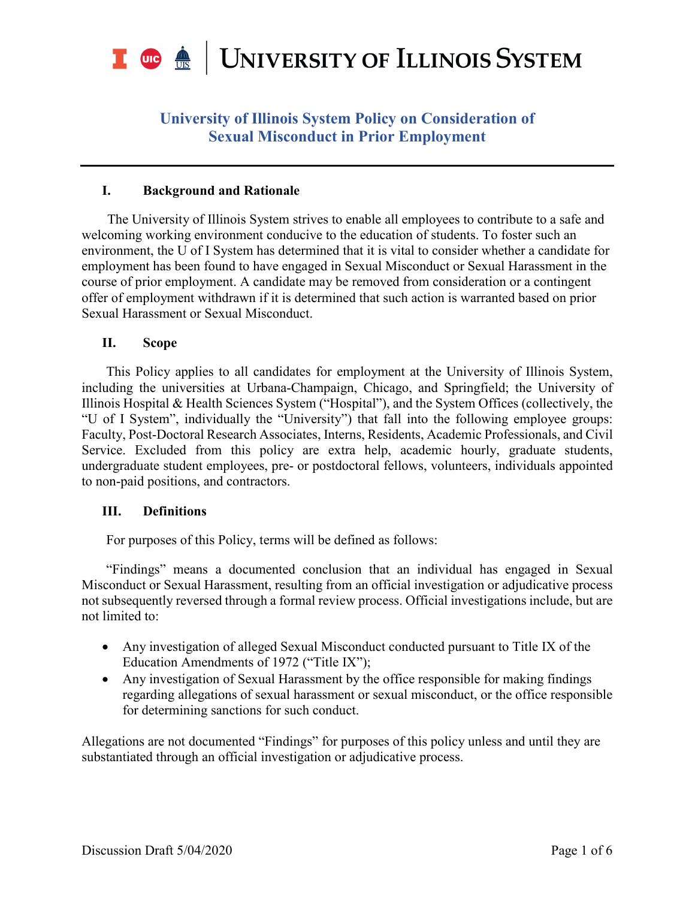

### **I. Background and Rationale**

The University of Illinois System strives to enable all employees to contribute to a safe and welcoming working environment conducive to the education of students. To foster such an environment, the U of I System has determined that it is vital to consider whether a candidate for employment has been found to have engaged in Sexual Misconduct or Sexual Harassment in the course of prior employment. A candidate may be removed from consideration or a contingent offer of employment withdrawn if it is determined that such action is warranted based on prior Sexual Harassment or Sexual Misconduct.

### **II. Scope**

This Policy applies to all candidates for employment at the University of Illinois System, including the universities at Urbana-Champaign, Chicago, and Springfield; the University of Illinois Hospital & Health Sciences System ("Hospital"), and the System Offices (collectively, the "U of I System", individually the "University") that fall into the following employee groups: Faculty, Post-Doctoral Research Associates, Interns, Residents, Academic Professionals, and Civil Service. Excluded from this policy are extra help, academic hourly, graduate students, undergraduate student employees, pre- or postdoctoral fellows, volunteers, individuals appointed to non-paid positions, and contractors.

### **III. Definitions**

For purposes of this Policy, terms will be defined as follows:

"Findings" means a documented conclusion that an individual has engaged in Sexual Misconduct or Sexual Harassment, resulting from an official investigation or adjudicative process not subsequently reversed through a formal review process. Official investigations include, but are not limited to:

- Any investigation of alleged Sexual Misconduct conducted pursuant to Title IX of the Education Amendments of 1972 ("Title IX");
- Any investigation of Sexual Harassment by the office responsible for making findings regarding allegations of sexual harassment or sexual misconduct, or the office responsible for determining sanctions for such conduct.

Allegations are not documented "Findings" for purposes of this policy unless and until they are substantiated through an official investigation or adjudicative process.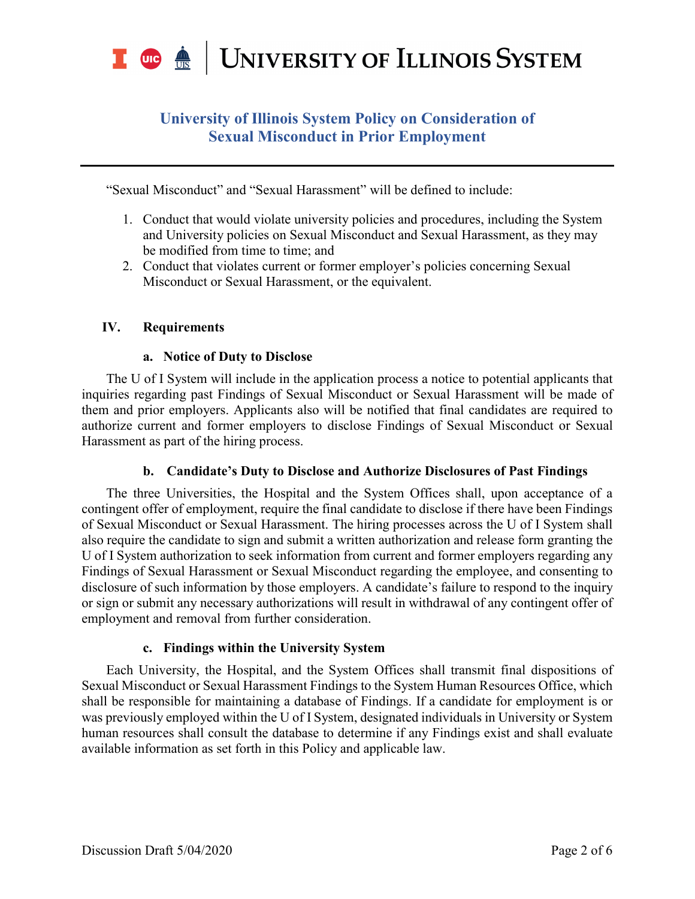

"Sexual Misconduct" and "Sexual Harassment" will be defined to include:

- 1. Conduct that would violate university policies and procedures, including the System and University policies on Sexual Misconduct and Sexual Harassment, as they may be modified from time to time; and
- 2. Conduct that violates current or former employer's policies concerning Sexual Misconduct or Sexual Harassment, or the equivalent.

### **IV. Requirements**

### **a. Notice of Duty to Disclose**

The U of I System will include in the application process a notice to potential applicants that inquiries regarding past Findings of Sexual Misconduct or Sexual Harassment will be made of them and prior employers. Applicants also will be notified that final candidates are required to authorize current and former employers to disclose Findings of Sexual Misconduct or Sexual Harassment as part of the hiring process.

### **b. Candidate's Duty to Disclose and Authorize Disclosures of Past Findings**

The three Universities, the Hospital and the System Offices shall, upon acceptance of a contingent offer of employment, require the final candidate to disclose if there have been Findings of Sexual Misconduct or Sexual Harassment. The hiring processes across the U of I System shall also require the candidate to sign and submit a written authorization and release form granting the U of I System authorization to seek information from current and former employers regarding any Findings of Sexual Harassment or Sexual Misconduct regarding the employee, and consenting to disclosure of such information by those employers. A candidate's failure to respond to the inquiry or sign or submit any necessary authorizations will result in withdrawal of any contingent offer of employment and removal from further consideration.

### **c. Findings within the University System**

Each University, the Hospital, and the System Offices shall transmit final dispositions of Sexual Misconduct or Sexual Harassment Findings to the System Human Resources Office, which shall be responsible for maintaining a database of Findings. If a candidate for employment is or was previously employed within the U of I System, designated individuals in University or System human resources shall consult the database to determine if any Findings exist and shall evaluate available information as set forth in this Policy and applicable law.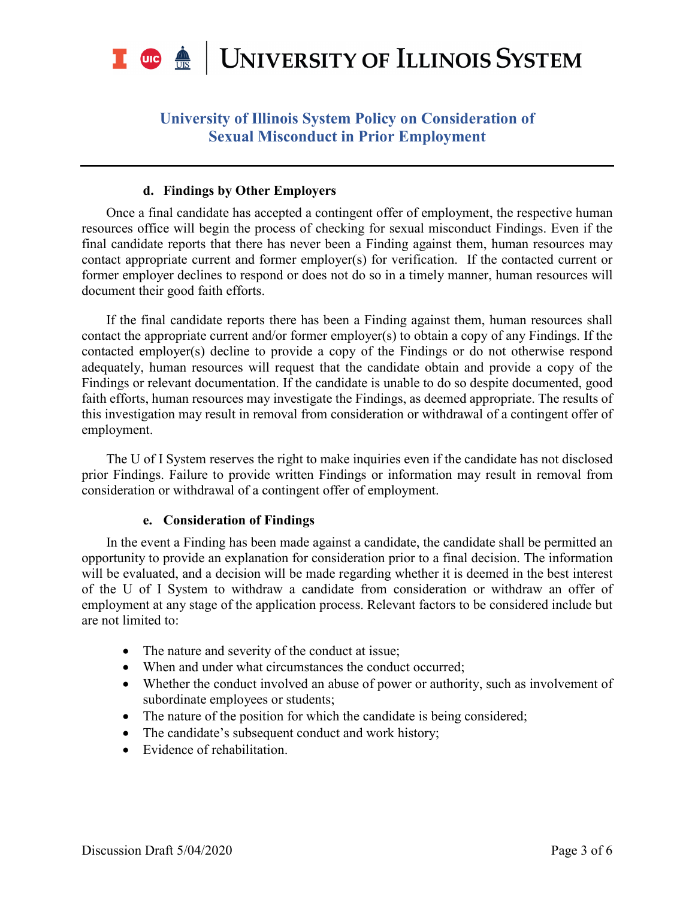

#### **d. Findings by Other Employers**

Once a final candidate has accepted a contingent offer of employment, the respective human resources office will begin the process of checking for sexual misconduct Findings. Even if the final candidate reports that there has never been a Finding against them, human resources may contact appropriate current and former employer(s) for verification. If the contacted current or former employer declines to respond or does not do so in a timely manner, human resources will document their good faith efforts.

If the final candidate reports there has been a Finding against them, human resources shall contact the appropriate current and/or former employer(s) to obtain a copy of any Findings. If the contacted employer(s) decline to provide a copy of the Findings or do not otherwise respond adequately, human resources will request that the candidate obtain and provide a copy of the Findings or relevant documentation. If the candidate is unable to do so despite documented, good faith efforts, human resources may investigate the Findings, as deemed appropriate. The results of this investigation may result in removal from consideration or withdrawal of a contingent offer of employment.

The U of I System reserves the right to make inquiries even if the candidate has not disclosed prior Findings. Failure to provide written Findings or information may result in removal from consideration or withdrawal of a contingent offer of employment.

#### **e. Consideration of Findings**

In the event a Finding has been made against a candidate, the candidate shall be permitted an opportunity to provide an explanation for consideration prior to a final decision. The information will be evaluated, and a decision will be made regarding whether it is deemed in the best interest of the U of I System to withdraw a candidate from consideration or withdraw an offer of employment at any stage of the application process. Relevant factors to be considered include but are not limited to:

- The nature and severity of the conduct at issue;
- When and under what circumstances the conduct occurred;
- Whether the conduct involved an abuse of power or authority, such as involvement of subordinate employees or students;
- The nature of the position for which the candidate is being considered;
- The candidate's subsequent conduct and work history;
- Evidence of rehabilitation.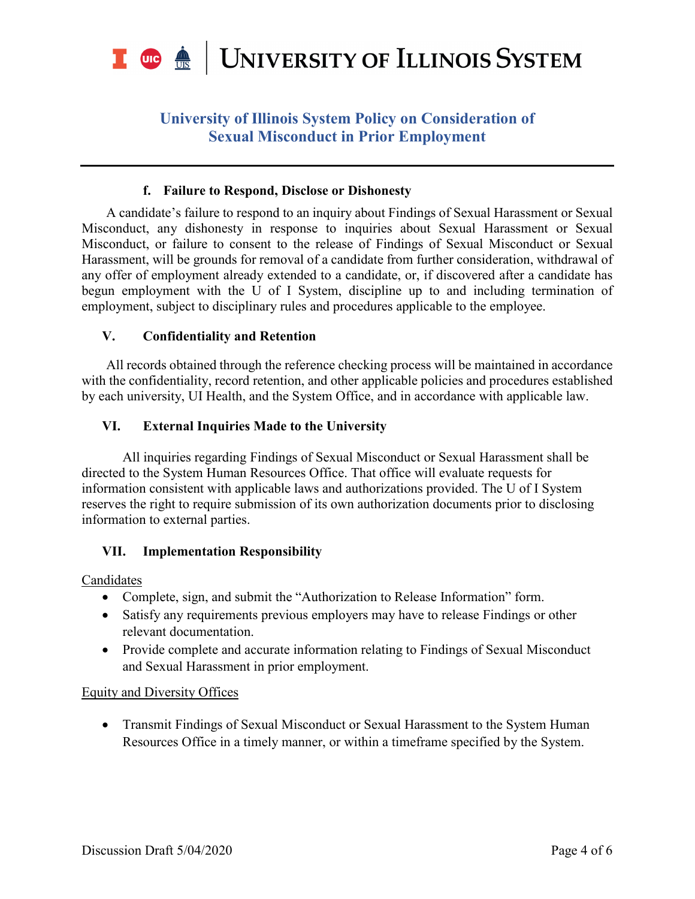

### **f. Failure to Respond, Disclose or Dishonesty**

A candidate's failure to respond to an inquiry about Findings of Sexual Harassment or Sexual Misconduct, any dishonesty in response to inquiries about Sexual Harassment or Sexual Misconduct, or failure to consent to the release of Findings of Sexual Misconduct or Sexual Harassment, will be grounds for removal of a candidate from further consideration, withdrawal of any offer of employment already extended to a candidate, or, if discovered after a candidate has begun employment with the U of I System, discipline up to and including termination of employment, subject to disciplinary rules and procedures applicable to the employee.

### **V. Confidentiality and Retention**

All records obtained through the reference checking process will be maintained in accordance with the confidentiality, record retention, and other applicable policies and procedures established by each university, UI Health, and the System Office, and in accordance with applicable law.

### **VI. External Inquiries Made to the University**

All inquiries regarding Findings of Sexual Misconduct or Sexual Harassment shall be directed to the System Human Resources Office. That office will evaluate requests for information consistent with applicable laws and authorizations provided. The U of I System reserves the right to require submission of its own authorization documents prior to disclosing information to external parties.

### **VII. Implementation Responsibility**

Candidates

- Complete, sign, and submit the "Authorization to Release Information" form.
- Satisfy any requirements previous employers may have to release Findings or other relevant documentation.
- Provide complete and accurate information relating to Findings of Sexual Misconduct and Sexual Harassment in prior employment.

### Equity and Diversity Offices

• Transmit Findings of Sexual Misconduct or Sexual Harassment to the System Human Resources Office in a timely manner, or within a timeframe specified by the System.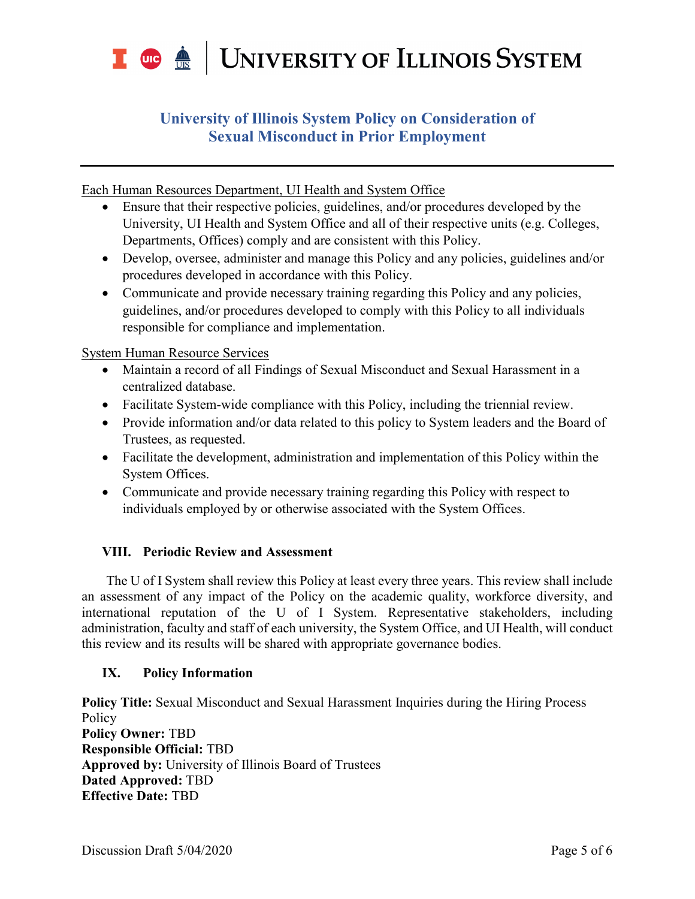

Each Human Resources Department, UI Health and System Office

- Ensure that their respective policies, guidelines, and/or procedures developed by the University, UI Health and System Office and all of their respective units (e.g. Colleges, Departments, Offices) comply and are consistent with this Policy.
- Develop, oversee, administer and manage this Policy and any policies, guidelines and/or procedures developed in accordance with this Policy.
- Communicate and provide necessary training regarding this Policy and any policies, guidelines, and/or procedures developed to comply with this Policy to all individuals responsible for compliance and implementation.

System Human Resource Services

- Maintain a record of all Findings of Sexual Misconduct and Sexual Harassment in a centralized database.
- Facilitate System-wide compliance with this Policy, including the triennial review.
- Provide information and/or data related to this policy to System leaders and the Board of Trustees, as requested.
- Facilitate the development, administration and implementation of this Policy within the System Offices.
- Communicate and provide necessary training regarding this Policy with respect to individuals employed by or otherwise associated with the System Offices.

### **VIII. Periodic Review and Assessment**

The U of I System shall review this Policy at least every three years. This review shall include an assessment of any impact of the Policy on the academic quality, workforce diversity, and international reputation of the U of I System. Representative stakeholders, including administration, faculty and staff of each university, the System Office, and UI Health, will conduct this review and its results will be shared with appropriate governance bodies.

### **IX. Policy Information**

**Policy Title:** Sexual Misconduct and Sexual Harassment Inquiries during the Hiring Process Policy **Policy Owner:** TBD **Responsible Official:** TBD **Approved by:** University of Illinois Board of Trustees **Dated Approved:** TBD **Effective Date:** TBD